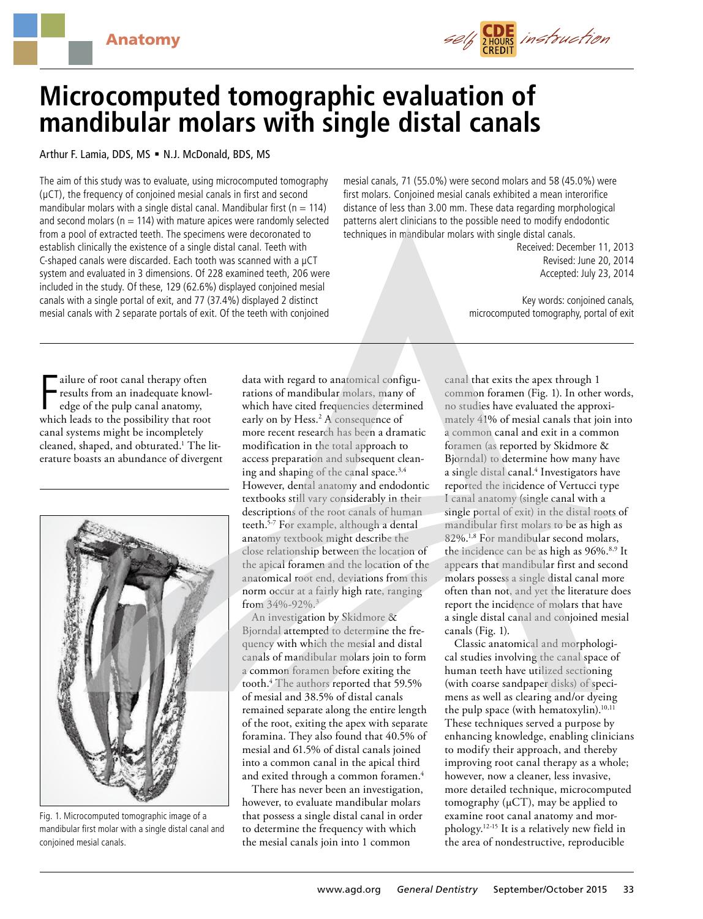

# **Microcomputed tomographic evaluation of mandibular molars with single distal canals**

# Arthur F. Lamia, DDS, MS = N.J. McDonald, BDS, MS

The aim of this study was to evaluate, using microcomputed tomography (µCT), the frequency of conjoined mesial canals in first and second mandibular molars with a single distal canal. Mandibular first ( $n = 114$ ) and second molars ( $n = 114$ ) with mature apices were randomly selected from a pool of extracted teeth. The specimens were decoronated to establish clinically the existence of a single distal canal. Teeth with C-shaped canals were discarded. Each tooth was scanned with a µCT system and evaluated in 3 dimensions. Of 228 examined teeth, 206 were included in the study. Of these, 129 (62.6%) displayed conjoined mesial canals with a single portal of exit, and 77 (37.4%) displayed 2 distinct mesial canals with 2 separate portals of exit. Of the teeth with conjoined

mesial canals, 71 (55.0%) were second molars and 58 (45.0%) were first molars. Conjoined mesial canals exhibited a mean interorifice distance of less than 3.00 mm. These data regarding morphological patterns alert clinicians to the possible need to modify endodontic techniques in mandibular molars with single distal canals.

> Received: December 11, 2013 Revised: June 20, 2014 Accepted: July 23, 2014

Key words: conjoined canals, microcomputed tomography, portal of exit

Figure of root canal therapy often<br>results from an inadequate knowledge of the pulp canal anatomy,<br>which leads to the possibility that root ailure of root canal therapy often results from an inadequate knowledge of the pulp canal anatomy, canal systems might be incompletely cleaned, shaped, and obturated.1 The literature boasts an abundance of divergent



Fig. 1. Microcomputed tomographic image of a mandibular first molar with a single distal canal and conjoined mesial canals.

data with regard to anatomical configurations of mandibular molars, many of which have cited frequencies determined early on by Hess.<sup>2</sup> A consequence of more recent research has been a dramatic modification in the total approach to access preparation and subsequent cleaning and shaping of the canal space.<sup>3,4</sup> However, dental anatomy and endodontic textbooks still vary considerably in their descriptions of the root canals of human teeth.5-7 For example, although a dental anatomy textbook might describe the close relationship between the location of the apical foramen and the location of the anatomical root end, deviations from this norm occur at a fairly high rate, ranging from 34%-92%.3

An investigation by Skidmore & Bjorndal attempted to determine the frequency with which the mesial and distal canals of mandibular molars join to form a common foramen before exiting the tooth.4 The authors reported that 59.5% of mesial and 38.5% of distal canals remained separate along the entire length of the root, exiting the apex with separate foramina. They also found that 40.5% of mesial and 61.5% of distal canals joined into a common canal in the apical third and exited through a common foramen.<sup>4</sup>

There has never been an investigation, however, to evaluate mandibular molars that possess a single distal canal in order to determine the frequency with which the mesial canals join into 1 common

canal that exits the apex through 1 common foramen (Fig. 1). In other words, no studies have evaluated the approximately 41% of mesial canals that join into a common canal and exit in a common foramen (as reported by Skidmore & Bjorndal) to determine how many have a single distal canal.4 Investigators have reported the incidence of Vertucci type I canal anatomy (single canal with a single portal of exit) in the distal roots of mandibular first molars to be as high as 82%.<sup>1,8</sup> For mandibular second molars, the incidence can be as high as 96%.<sup>8,9</sup> It appears that mandibular first and second molars possess a single distal canal more often than not, and yet the literature does report the incidence of molars that have a single distal canal and conjoined mesial canals (Fig. 1).

Classic anatomical and morphological studies involving the canal space of human teeth have utilized sectioning (with coarse sandpaper disks) of specimens as well as clearing and/or dyeing the pulp space (with hematoxylin).<sup>10,11</sup> These techniques served a purpose by enhancing knowledge, enabling clinicians to modify their approach, and thereby improving root canal therapy as a whole; however, now a cleaner, less invasive, more detailed technique, microcomputed tomography  $(\mu$ CT), may be applied to examine root canal anatomy and morphology.12-15 It is a relatively new field in the area of nondestructive, reproducible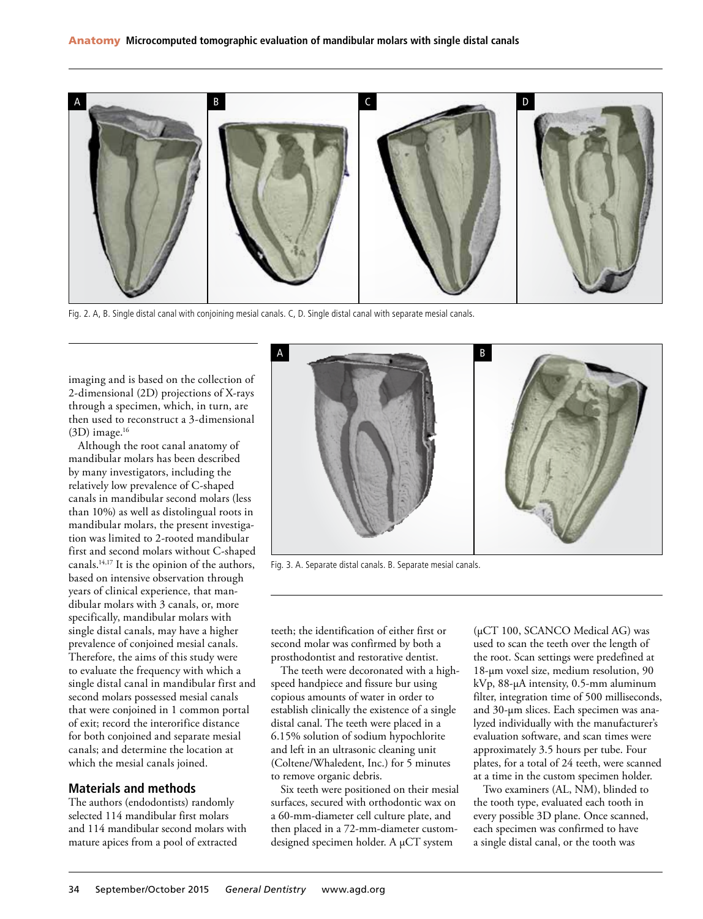

Fig. 2. A, B. Single distal canal with conjoining mesial canals. C, D. Single distal canal with separate mesial canals.

imaging and is based on the collection of 2-dimensional (2D) projections of X-rays through a specimen, which, in turn, are then used to reconstruct a 3-dimensional  $(3D)$  image.<sup>16</sup>

Although the root canal anatomy of mandibular molars has been described by many investigators, including the relatively low prevalence of C-shaped canals in mandibular second molars (less than 10%) as well as distolingual roots in mandibular molars, the present investigation was limited to 2-rooted mandibular first and second molars without C-shaped canals.14,17 It is the opinion of the authors, based on intensive observation through years of clinical experience, that mandibular molars with 3 canals, or, more specifically, mandibular molars with single distal canals, may have a higher prevalence of conjoined mesial canals. Therefore, the aims of this study were to evaluate the frequency with which a single distal canal in mandibular first and second molars possessed mesial canals that were conjoined in 1 common portal of exit; record the interorifice distance for both conjoined and separate mesial canals; and determine the location at which the mesial canals joined.

### **Materials and methods**

The authors (endodontists) randomly selected 114 mandibular first molars and 114 mandibular second molars with mature apices from a pool of extracted



Fig. 3. A. Separate distal canals. B. Separate mesial canals.

teeth; the identification of either first or second molar was confirmed by both a prosthodontist and restorative dentist.

The teeth were decoronated with a highspeed handpiece and fissure bur using copious amounts of water in order to establish clinically the existence of a single distal canal. The teeth were placed in a 6.15% solution of sodium hypochlorite and left in an ultrasonic cleaning unit (Coltene/Whaledent, Inc.) for 5 minutes to remove organic debris.

Six teeth were positioned on their mesial surfaces, secured with orthodontic wax on a 60-mm-diameter cell culture plate, and then placed in a 72-mm-diameter customdesigned specimen holder. A µCT system

(µCT 100, SCANCO Medical AG) was used to scan the teeth over the length of the root. Scan settings were predefined at 18-µm voxel size, medium resolution, 90 kVp, 88-µA intensity, 0.5-mm aluminum filter, integration time of 500 milliseconds, and 30-µm slices. Each specimen was analyzed individually with the manufacturer's evaluation software, and scan times were approximately 3.5 hours per tube. Four plates, for a total of 24 teeth, were scanned at a time in the custom specimen holder.

Two examiners (AL, NM), blinded to the tooth type, evaluated each tooth in every possible 3D plane. Once scanned, each specimen was confirmed to have a single distal canal, or the tooth was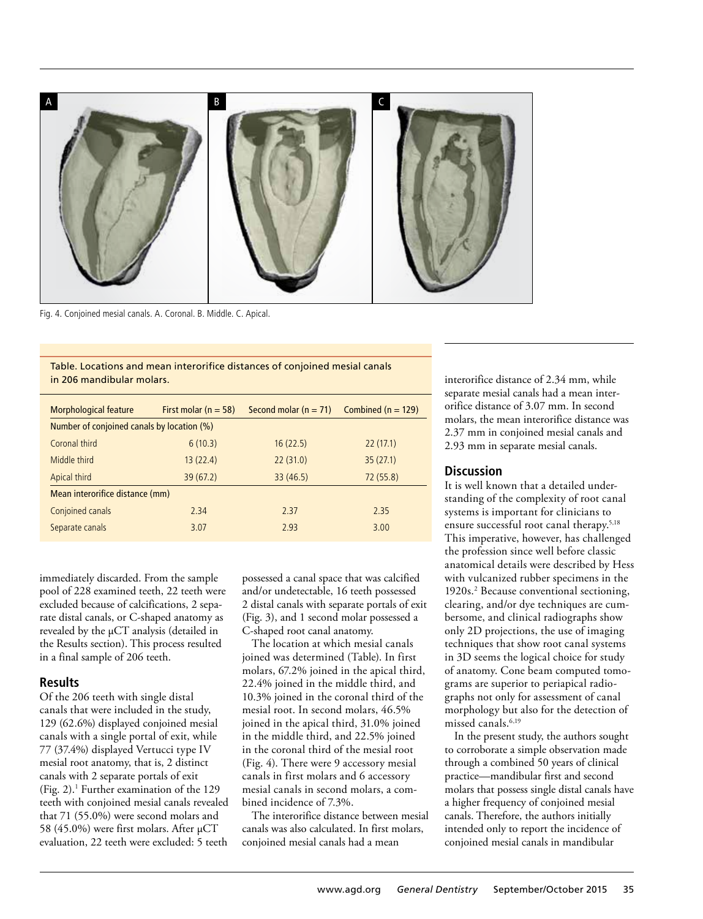

Fig. 4. Conjoined mesial canals. A. Coronal. B. Middle. C. Apical.

Table. Locations and mean interorifice distances of conjoined mesial canals in 206 mandibular molars.

| <b>Morphological feature</b>               | First molar ( $n = 58$ ) | Second molar $(n = 71)$ | Combined $(n = 129)$ |
|--------------------------------------------|--------------------------|-------------------------|----------------------|
| Number of conjoined canals by location (%) |                          |                         |                      |
| Coronal third                              | 6(10.3)                  | 16(22.5)                | 22(17.1)             |
| Middle third                               | 13(22.4)                 | 22(31.0)                | 35(27.1)             |
| Apical third                               | 39(67.2)                 | 33(46.5)                | 72(55.8)             |
| Mean interorifice distance (mm)            |                          |                         |                      |
| Conjoined canals                           | 2.34                     | 2.37                    | 2.35                 |
| Separate canals                            | 3.07                     | 2.93                    | 3.00                 |

immediately discarded. From the sample pool of 228 examined teeth, 22 teeth were excluded because of calcifications, 2 separate distal canals, or C-shaped anatomy as revealed by the µCT analysis (detailed in the Results section). This process resulted in a final sample of 206 teeth.

#### **Results**

Of the 206 teeth with single distal canals that were included in the study, 129 (62.6%) displayed conjoined mesial canals with a single portal of exit, while 77 (37.4%) displayed Vertucci type IV mesial root anatomy, that is, 2 distinct canals with 2 separate portals of exit (Fig. 2).1 Further examination of the 129 teeth with conjoined mesial canals revealed that 71 (55.0%) were second molars and 58 (45.0%) were first molars. After µCT evaluation, 22 teeth were excluded: 5 teeth

possessed a canal space that was calcified and/or undetectable, 16 teeth possessed 2 distal canals with separate portals of exit (Fig. 3), and 1 second molar possessed a C-shaped root canal anatomy.

The location at which mesial canals joined was determined (Table). In first molars, 67.2% joined in the apical third, 22.4% joined in the middle third, and 10.3% joined in the coronal third of the mesial root. In second molars, 46.5% joined in the apical third, 31.0% joined in the middle third, and 22.5% joined in the coronal third of the mesial root (Fig. 4). There were 9 accessory mesial canals in first molars and 6 accessory mesial canals in second molars, a combined incidence of 7.3%.

The interorifice distance between mesial canals was also calculated. In first molars, conjoined mesial canals had a mean

interorifice distance of 2.34 mm, while separate mesial canals had a mean interorifice distance of 3.07 mm. In second molars, the mean interorifice distance was 2.37 mm in conjoined mesial canals and 2.93 mm in separate mesial canals.

# **Discussion**

It is well known that a detailed understanding of the complexity of root canal systems is important for clinicians to ensure successful root canal therapy.5,18 This imperative, however, has challenged the profession since well before classic anatomical details were described by Hess with vulcanized rubber specimens in the 1920s.2 Because conventional sectioning, clearing, and/or dye techniques are cumbersome, and clinical radiographs show only 2D projections, the use of imaging techniques that show root canal systems in 3D seems the logical choice for study of anatomy. Cone beam computed tomograms are superior to periapical radiographs not only for assessment of canal morphology but also for the detection of missed canals.<sup>6,19</sup>

In the present study, the authors sought to corroborate a simple observation made through a combined 50 years of clinical practice—mandibular first and second molars that possess single distal canals have a higher frequency of conjoined mesial canals. Therefore, the authors initially intended only to report the incidence of conjoined mesial canals in mandibular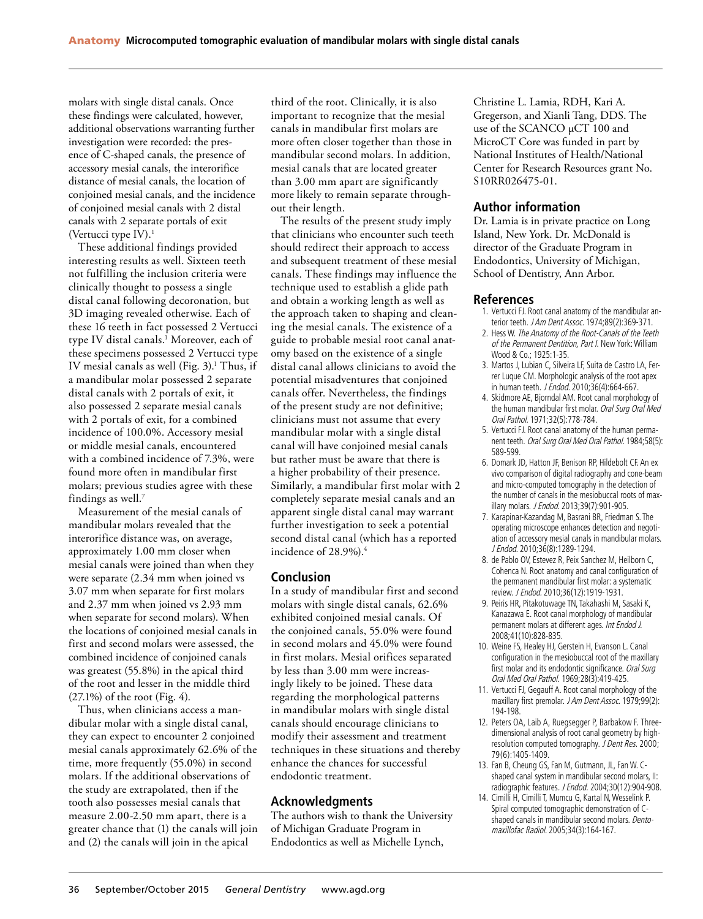molars with single distal canals. Once these findings were calculated, however, additional observations warranting further investigation were recorded: the presence of C-shaped canals, the presence of accessory mesial canals, the interorifice distance of mesial canals, the location of conjoined mesial canals, and the incidence of conjoined mesial canals with 2 distal canals with 2 separate portals of exit (Vertucci type  $IV$ ).<sup>1</sup>

These additional findings provided interesting results as well. Sixteen teeth not fulfilling the inclusion criteria were clinically thought to possess a single distal canal following decoronation, but 3D imaging revealed otherwise. Each of these 16 teeth in fact possessed 2 Vertucci type IV distal canals.<sup>1</sup> Moreover, each of these specimens possessed 2 Vertucci type IV mesial canals as well (Fig. 3).<sup>1</sup> Thus, if a mandibular molar possessed 2 separate distal canals with 2 portals of exit, it also possessed 2 separate mesial canals with 2 portals of exit, for a combined incidence of 100.0%. Accessory mesial or middle mesial canals, encountered with a combined incidence of 7.3%, were found more often in mandibular first molars; previous studies agree with these findings as well.7

Measurement of the mesial canals of mandibular molars revealed that the interorifice distance was, on average, approximately 1.00 mm closer when mesial canals were joined than when they were separate (2.34 mm when joined vs 3.07 mm when separate for first molars and 2.37 mm when joined vs 2.93 mm when separate for second molars). When the locations of conjoined mesial canals in first and second molars were assessed, the combined incidence of conjoined canals was greatest (55.8%) in the apical third of the root and lesser in the middle third (27.1%) of the root (Fig. 4).

Thus, when clinicians access a mandibular molar with a single distal canal, they can expect to encounter 2 conjoined mesial canals approximately 62.6% of the time, more frequently (55.0%) in second molars. If the additional observations of the study are extrapolated, then if the tooth also possesses mesial canals that measure 2.00-2.50 mm apart, there is a greater chance that (1) the canals will join and (2) the canals will join in the apical

third of the root. Clinically, it is also important to recognize that the mesial canals in mandibular first molars are more often closer together than those in mandibular second molars. In addition, mesial canals that are located greater than 3.00 mm apart are significantly more likely to remain separate throughout their length.

The results of the present study imply that clinicians who encounter such teeth should redirect their approach to access and subsequent treatment of these mesial canals. These findings may influence the technique used to establish a glide path and obtain a working length as well as the approach taken to shaping and cleaning the mesial canals. The existence of a guide to probable mesial root canal anatomy based on the existence of a single distal canal allows clinicians to avoid the potential misadventures that conjoined canals offer. Nevertheless, the findings of the present study are not definitive; clinicians must not assume that every mandibular molar with a single distal canal will have conjoined mesial canals but rather must be aware that there is a higher probability of their presence. Similarly, a mandibular first molar with 2 completely separate mesial canals and an apparent single distal canal may warrant further investigation to seek a potential second distal canal (which has a reported incidence of 28.9%).4

## **Conclusion**

In a study of mandibular first and second molars with single distal canals, 62.6% exhibited conjoined mesial canals. Of the conjoined canals, 55.0% were found in second molars and 45.0% were found in first molars. Mesial orifices separated by less than 3.00 mm were increasingly likely to be joined. These data regarding the morphological patterns in mandibular molars with single distal canals should encourage clinicians to modify their assessment and treatment techniques in these situations and thereby enhance the chances for successful endodontic treatment.

## **Acknowledgments**

The authors wish to thank the University of Michigan Graduate Program in Endodontics as well as Michelle Lynch,

Christine L. Lamia, RDH, Kari A. Gregerson, and Xianli Tang, DDS. The use of the SCANCO µCT 100 and MicroCT Core was funded in part by National Institutes of Health/National Center for Research Resources grant No. S10RR026475-01.

### **Author information**

Dr. Lamia is in private practice on Long Island, New York. Dr. McDonald is director of the Graduate Program in Endodontics, University of Michigan, School of Dentistry, Ann Arbor.

### **References**

- 1. Vertucci FJ. Root canal anatomy of the mandibular anterior teeth. J Am Dent Assoc. 1974;89(2):369-371.
- 2. Hess W. The Anatomy of the Root-Canals of the Teeth of the Permanent Dentition, Part I. New York: William Wood & Co.; 1925:1-35.
- 3. Martos J, Lubian C, Silveira LF, Suita de Castro LA, Ferrer Luque CM. Morphologic analysis of the root apex in human teeth. J Endod. 2010;36(4):664-667.
- 4. Skidmore AE, Bjorndal AM. Root canal morphology of the human mandibular first molar. Oral Surg Oral Med Oral Pathol. 1971;32(5):778-784.
- 5. Vertucci FJ. Root canal anatomy of the human permanent teeth. Oral Surg Oral Med Oral Pathol. 1984;58(5): 589-599.
- 6. Domark JD, Hatton JF, Benison RP, Hildebolt CF. An ex vivo comparison of digital radiography and cone-beam and micro-computed tomography in the detection of the number of canals in the mesiobuccal roots of maxillary molars. J Endod. 2013;39(7):901-905.
- 7. Karapinar-Kazandag M, Basrani BR, Friedman S. The operating microscope enhances detection and negotiation of accessory mesial canals in mandibular molars. J Endod. 2010;36(8):1289-1294.
- 8. de Pablo OV, Estevez R, Peix Sanchez M, Heilborn C, Cohenca N. Root anatomy and canal configuration of the permanent mandibular first molar: a systematic review. J Endod. 2010;36(12):1919-1931.
- 9. Peiris HR, Pitakotuwage TN, Takahashi M, Sasaki K, Kanazawa E. Root canal morphology of mandibular permanent molars at different ages. Int Endod J. 2008;41(10):828-835.
- 10. Weine FS, Healey HJ, Gerstein H, Evanson L. Canal configuration in the mesiobuccal root of the maxillary first molar and its endodontic significance. Oral Surg Oral Med Oral Pathol. 1969;28(3):419-425.
- 11. Vertucci FJ, Gegauff A. Root canal morphology of the maxillary first premolar. J Am Dent Assoc. 1979;99(2): 194-198.
- 12. Peters OA, Laib A, Ruegsegger P, Barbakow F. Threedimensional analysis of root canal geometry by highresolution computed tomography. J Dent Res. 2000; 79(6):1405-1409.
- 13. Fan B, Cheung GS, Fan M, Gutmann, JL, Fan W. Cshaped canal system in mandibular second molars, II: radiographic features. J Endod. 2004;30(12):904-908.
- 14. Cimilli H, Cimilli T, Mumcu G, Kartal N, Wesselink P. Spiral computed tomographic demonstration of Cshaped canals in mandibular second molars. Dentomaxillofac Radiol. 2005;34(3):164-167.